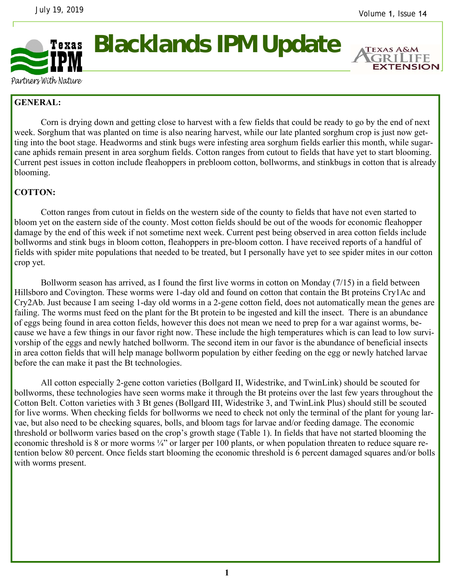

**Blacklands IPM Update** 

**EXTENSION** 

Partners With Nature

## **GENERAL:**

 Corn is drying down and getting close to harvest with a few fields that could be ready to go by the end of next week. Sorghum that was planted on time is also nearing harvest, while our late planted sorghum crop is just now getting into the boot stage. Headworms and stink bugs were infesting area sorghum fields earlier this month, while sugarcane aphids remain present in area sorghum fields. Cotton ranges from cutout to fields that have yet to start blooming. Current pest issues in cotton include fleahoppers in prebloom cotton, bollworms, and stinkbugs in cotton that is already blooming.

## **COTTON:**

Cotton ranges from cutout in fields on the western side of the county to fields that have not even started to bloom yet on the eastern side of the county. Most cotton fields should be out of the woods for economic fleahopper damage by the end of this week if not sometime next week. Current pest being observed in area cotton fields include bollworms and stink bugs in bloom cotton, fleahoppers in pre-bloom cotton. I have received reports of a handful of fields with spider mite populations that needed to be treated, but I personally have yet to see spider mites in our cotton crop yet.

 Bollworm season has arrived, as I found the first live worms in cotton on Monday (7/15) in a field between Hillsboro and Covington. These worms were 1-day old and found on cotton that contain the Bt proteins Cry1Ac and Cry2Ab. Just because I am seeing 1-day old worms in a 2-gene cotton field, does not automatically mean the genes are failing. The worms must feed on the plant for the Bt protein to be ingested and kill the insect. There is an abundance of eggs being found in area cotton fields, however this does not mean we need to prep for a war against worms, because we have a few things in our favor right now. These include the high temperatures which is can lead to low survivorship of the eggs and newly hatched bollworm. The second item in our favor is the abundance of beneficial insects in area cotton fields that will help manage bollworm population by either feeding on the egg or newly hatched larvae before the can make it past the Bt technologies.

 All cotton especially 2-gene cotton varieties (Bollgard II, Widestrike, and TwinLink) should be scouted for bollworms, these technologies have seen worms make it through the Bt proteins over the last few years throughout the Cotton Belt. Cotton varieties with 3 Bt genes (Bollgard III, Widestrike 3, and TwinLink Plus) should still be scouted for live worms. When checking fields for bollworms we need to check not only the terminal of the plant for young larvae, but also need to be checking squares, bolls, and bloom tags for larvae and/or feeding damage. The economic threshold or bollworm varies based on the crop's growth stage (Table 1). In fields that have not started blooming the economic threshold is 8 or more worms ¼" or larger per 100 plants, or when population threaten to reduce square retention below 80 percent. Once fields start blooming the economic threshold is 6 percent damaged squares and/or bolls with worms present.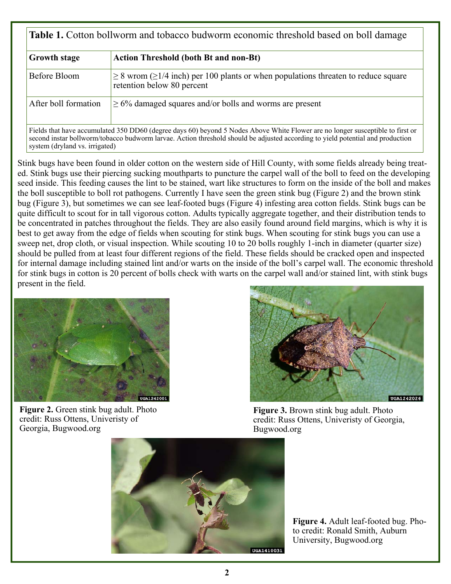| <b>Table 1.</b> Cotton bollworm and tobacco budworm economic threshold based on boll damage |                                                                                                                                                                                                                                                                  |
|---------------------------------------------------------------------------------------------|------------------------------------------------------------------------------------------------------------------------------------------------------------------------------------------------------------------------------------------------------------------|
| <b>Growth stage</b>                                                                         | <b>Action Threshold (both Bt and non-Bt)</b>                                                                                                                                                                                                                     |
| Before Bloom                                                                                | $\geq$ 8 wrom ( $\geq$ 1/4 inch) per 100 plants or when populations threaten to reduce square<br>retention below 80 percent                                                                                                                                      |
| After boll formation                                                                        | $\geq 6\%$ damaged squares and/or bolls and worms are present                                                                                                                                                                                                    |
| system (dryland vs. irrigated)                                                              | Fields that have accumulated 350 DD60 (degree days 60) beyond 5 Nodes Above White Flower are no longer susceptible to first or<br>second instar bollworm/tobacco budworm larvae. Action threshold should be adjusted according to yield potential and production |

Stink bugs have been found in older cotton on the western side of Hill County, with some fields already being treated. Stink bugs use their piercing sucking mouthparts to puncture the carpel wall of the boll to feed on the developing seed inside. This feeding causes the lint to be stained, wart like structures to form on the inside of the boll and makes the boll susceptible to boll rot pathogens. Currently I have seen the green stink bug (Figure 2) and the brown stink bug (Figure 3), but sometimes we can see leaf-footed bugs (Figure 4) infesting area cotton fields. Stink bugs can be quite difficult to scout for in tall vigorous cotton. Adults typically aggregate together, and their distribution tends to be concentrated in patches throughout the fields. They are also easily found around field margins, which is why it is best to get away from the edge of fields when scouting for stink bugs. When scouting for stink bugs you can use a sweep net, drop cloth, or visual inspection. While scouting 10 to 20 bolls roughly 1-inch in diameter (quarter size) should be pulled from at least four different regions of the field. These fields should be cracked open and inspected for internal damage including stained lint and/or warts on the inside of the boll's carpel wall. The economic threshold for stink bugs in cotton is 20 percent of bolls check with warts on the carpel wall and/or stained lint, with stink bugs present in the field.



**Figure 2.** Green stink bug adult. Photo credit: Russ Ottens, Univeristy of Georgia, Bugwood.org



**Figure 3.** Brown stink bug adult. Photo credit: Russ Ottens, Univeristy of Georgia, Bugwood.org



**Figure 4.** Adult leaf-footed bug. Photo credit: Ronald Smith, Auburn University, Bugwood.org